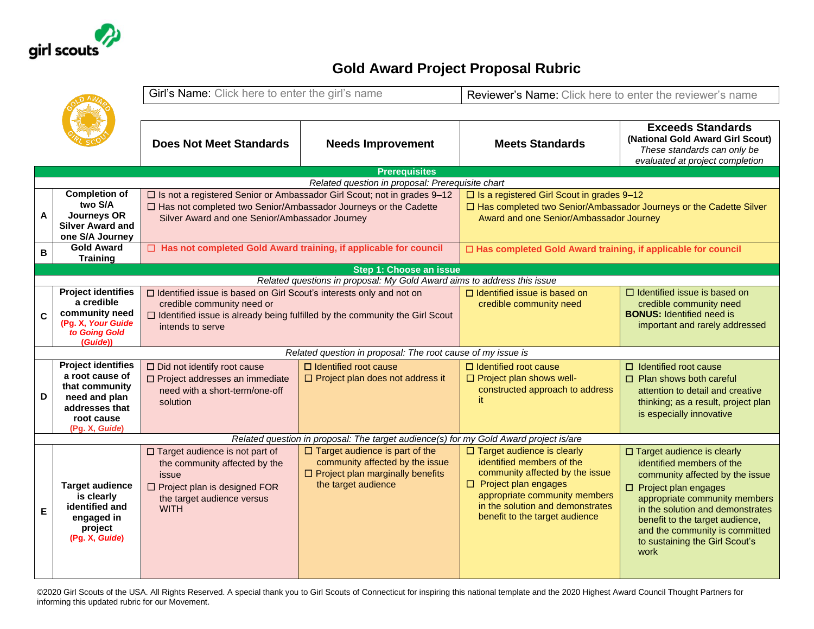

## **Gold Award Project Proposal Rubric**

|              |                                            | Girl's Name: Click here to enter the girl's name                                   |                                                                                       | Reviewer's Name: Click here to enter the reviewer's name             |                                                                                                    |  |  |  |
|--------------|--------------------------------------------|------------------------------------------------------------------------------------|---------------------------------------------------------------------------------------|----------------------------------------------------------------------|----------------------------------------------------------------------------------------------------|--|--|--|
|              |                                            |                                                                                    |                                                                                       |                                                                      | <b>Exceeds Standards</b>                                                                           |  |  |  |
|              |                                            | <b>Does Not Meet Standards</b>                                                     | <b>Needs Improvement</b>                                                              | <b>Meets Standards</b>                                               | (National Gold Award Girl Scout)<br>These standards can only be<br>evaluated at project completion |  |  |  |
|              |                                            |                                                                                    | <b>Prerequisites</b>                                                                  |                                                                      |                                                                                                    |  |  |  |
|              |                                            |                                                                                    | Related question in proposal: Prerequisite chart                                      |                                                                      |                                                                                                    |  |  |  |
|              | <b>Completion of</b>                       | □ Is not a registered Senior or Ambassador Girl Scout; not in grades 9-12          |                                                                                       | $\Box$ Is a registered Girl Scout in grades 9-12                     |                                                                                                    |  |  |  |
|              | two S/A                                    | □ Has not completed two Senior/Ambassador Journeys or the Cadette                  |                                                                                       | □ Has completed two Senior/Ambassador Journeys or the Cadette Silver |                                                                                                    |  |  |  |
| A            | <b>Journeys OR</b>                         | Silver Award and one Senior/Ambassador Journey                                     |                                                                                       | Award and one Senior/Ambassador Journey                              |                                                                                                    |  |  |  |
|              | <b>Silver Award and</b><br>one S/A Journey |                                                                                    |                                                                                       |                                                                      |                                                                                                    |  |  |  |
|              | <b>Gold Award</b>                          |                                                                                    |                                                                                       | □ Has completed Gold Award training, if applicable for council       |                                                                                                    |  |  |  |
| B            | <b>Training</b>                            | □ Has not completed Gold Award training, if applicable for council                 |                                                                                       |                                                                      |                                                                                                    |  |  |  |
|              | Step 1: Choose an issue                    |                                                                                    |                                                                                       |                                                                      |                                                                                                    |  |  |  |
|              |                                            |                                                                                    | Related questions in proposal: My Gold Award aims to address this issue               |                                                                      |                                                                                                    |  |  |  |
|              | <b>Project identifies</b>                  | □ Identified issue is based on Girl Scout's interests only and not on              |                                                                                       | $\Box$ Identified issue is based on                                  | $\Box$ Identified issue is based on                                                                |  |  |  |
|              | a credible                                 | credible community need or                                                         |                                                                                       | credible community need                                              | credible community need                                                                            |  |  |  |
| $\mathbf{C}$ | community need                             | $\Box$ Identified issue is already being fulfilled by the community the Girl Scout |                                                                                       |                                                                      | <b>BONUS: Identified need is</b>                                                                   |  |  |  |
|              | (Pg. X, Your Guide<br>to Going Gold        | intends to serve                                                                   |                                                                                       |                                                                      | important and rarely addressed                                                                     |  |  |  |
|              | (Guide))                                   |                                                                                    |                                                                                       |                                                                      |                                                                                                    |  |  |  |
|              |                                            |                                                                                    | Related question in proposal: The root cause of my issue is                           |                                                                      |                                                                                                    |  |  |  |
|              | <b>Project identifies</b>                  | $\Box$ Did not identify root cause                                                 | $\Box$ Identified root cause                                                          | $\Box$ Identified root cause                                         | $\Box$ Identified root cause                                                                       |  |  |  |
|              | a root cause of                            | □ Project addresses an immediate                                                   | $\Box$ Project plan does not address it                                               | $\Box$ Project plan shows well-                                      | $\Box$ Plan shows both careful                                                                     |  |  |  |
|              | that community                             | need with a short-term/one-off                                                     |                                                                                       | constructed approach to address                                      | attention to detail and creative                                                                   |  |  |  |
| D            | need and plan<br>addresses that            | solution                                                                           |                                                                                       | it.                                                                  | thinking; as a result, project plan                                                                |  |  |  |
|              | root cause                                 |                                                                                    |                                                                                       |                                                                      | is especially innovative                                                                           |  |  |  |
|              | (Pg. X, Guide)                             |                                                                                    |                                                                                       |                                                                      |                                                                                                    |  |  |  |
|              |                                            |                                                                                    | Related question in proposal: The target audience(s) for my Gold Award project is/are |                                                                      |                                                                                                    |  |  |  |
|              |                                            | □ Target audience is not part of                                                   | $\Box$ Target audience is part of the                                                 | $\Box$ Target audience is clearly                                    | □ Target audience is clearly                                                                       |  |  |  |
|              |                                            | the community affected by the                                                      | community affected by the issue                                                       | identified members of the                                            | identified members of the                                                                          |  |  |  |
|              |                                            | issue                                                                              | $\Box$ Project plan marginally benefits                                               | community affected by the issue                                      | community affected by the issue                                                                    |  |  |  |
|              | <b>Target audience</b>                     | □ Project plan is designed FOR                                                     | the target audience                                                                   | $\Box$ Project plan engages                                          | $\square$ Project plan engages                                                                     |  |  |  |
|              | is clearly                                 | the target audience versus                                                         |                                                                                       | appropriate community members                                        | appropriate community members                                                                      |  |  |  |
| Е            | identified and                             | <b>WITH</b>                                                                        |                                                                                       | in the solution and demonstrates<br>benefit to the target audience   | in the solution and demonstrates                                                                   |  |  |  |
|              | engaged in<br>project                      |                                                                                    |                                                                                       |                                                                      | benefit to the target audience,                                                                    |  |  |  |
|              | (Pg. X, Guide)                             |                                                                                    |                                                                                       |                                                                      | and the community is committed                                                                     |  |  |  |
|              |                                            |                                                                                    |                                                                                       |                                                                      | to sustaining the Girl Scout's<br>work                                                             |  |  |  |
|              |                                            |                                                                                    |                                                                                       |                                                                      |                                                                                                    |  |  |  |
|              |                                            |                                                                                    |                                                                                       |                                                                      |                                                                                                    |  |  |  |

©2020 Girl Scouts of the USA. All Rights Reserved. A special thank you to Girl Scouts of Connecticut for inspiring this national template and the 2020 Highest Award Council Thought Partners for informing this updated rubric for our Movement.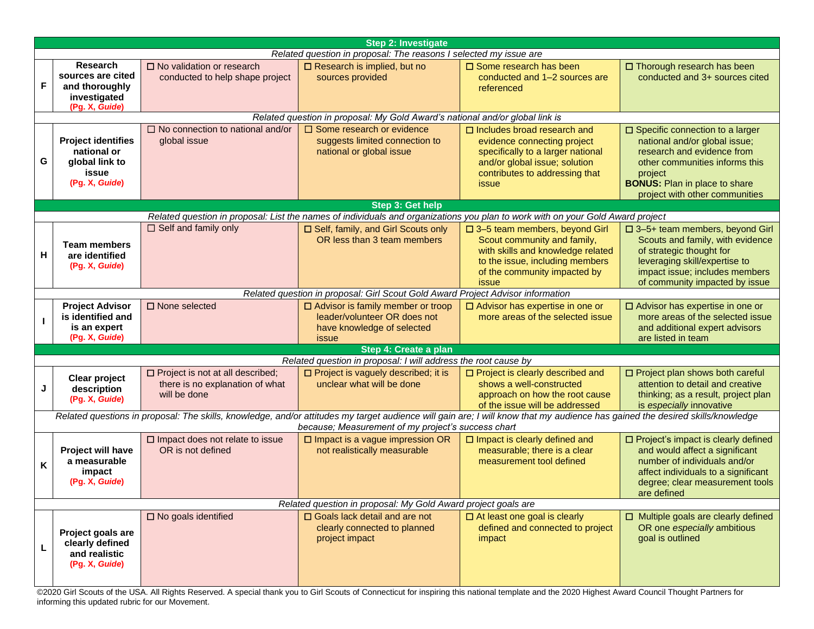| <b>Step 2: Investigate</b>                                                                                                                                                                                                          |                                                                                          |                                                                                            |                                                                                                                                                                                                       |                                                                                                                                                                                    |                                                                                                                                                                                                                         |  |  |
|-------------------------------------------------------------------------------------------------------------------------------------------------------------------------------------------------------------------------------------|------------------------------------------------------------------------------------------|--------------------------------------------------------------------------------------------|-------------------------------------------------------------------------------------------------------------------------------------------------------------------------------------------------------|------------------------------------------------------------------------------------------------------------------------------------------------------------------------------------|-------------------------------------------------------------------------------------------------------------------------------------------------------------------------------------------------------------------------|--|--|
| Related question in proposal: The reasons I selected my issue are                                                                                                                                                                   |                                                                                          |                                                                                            |                                                                                                                                                                                                       |                                                                                                                                                                                    |                                                                                                                                                                                                                         |  |  |
| F                                                                                                                                                                                                                                   | <b>Research</b><br>sources are cited<br>and thoroughly<br>investigated<br>(Pg. X, Guide) | $\square$ No validation or research<br>conducted to help shape project                     | $\Box$ Research is implied, but no<br>sources provided                                                                                                                                                | $\square$ Some research has been<br>conducted and 1-2 sources are<br>referenced                                                                                                    | □ Thorough research has been<br>conducted and 3+ sources cited                                                                                                                                                          |  |  |
|                                                                                                                                                                                                                                     |                                                                                          |                                                                                            | Related question in proposal: My Gold Award's national and/or global link is                                                                                                                          |                                                                                                                                                                                    |                                                                                                                                                                                                                         |  |  |
| G                                                                                                                                                                                                                                   | <b>Project identifies</b><br>national or<br>global link to<br>issue<br>(Pg. X, Guide)    | $\Box$ No connection to national and/or<br>global issue                                    | $\Box$ Some research or evidence<br>suggests limited connection to<br>national or global issue                                                                                                        | $\Box$ Includes broad research and<br>evidence connecting project<br>specifically to a larger national<br>and/or global issue; solution<br>contributes to addressing that<br>issue | □ Specific connection to a larger<br>national and/or global issue;<br>research and evidence from<br>other communities informs this<br>project<br><b>BONUS:</b> Plan in place to share<br>project with other communities |  |  |
|                                                                                                                                                                                                                                     |                                                                                          |                                                                                            | <b>Step 3: Get help</b>                                                                                                                                                                               |                                                                                                                                                                                    |                                                                                                                                                                                                                         |  |  |
| H                                                                                                                                                                                                                                   | <b>Team members</b><br>are identified<br>(Pg. X, Guide)                                  | $\Box$ Self and family only                                                                | Related question in proposal: List the names of individuals and organizations you plan to work with on your Gold Award project<br>□ Self, family, and Girl Scouts only<br>OR less than 3 team members | □ 3-5 team members, beyond Girl<br>Scout community and family,<br>with skills and knowledge related<br>to the issue, including members<br>of the community impacted by<br>issue    | □ 3-5+ team members, beyond Girl<br>Scouts and family, with evidence<br>of strategic thought for<br>leveraging skill/expertise to<br>impact issue; includes members<br>of community impacted by issue                   |  |  |
|                                                                                                                                                                                                                                     |                                                                                          |                                                                                            | Related question in proposal: Girl Scout Gold Award Project Advisor information                                                                                                                       |                                                                                                                                                                                    |                                                                                                                                                                                                                         |  |  |
|                                                                                                                                                                                                                                     | <b>Project Advisor</b><br>is identified and<br>is an expert<br>(Pg. X, Guide)            | □ None selected                                                                            | $\Box$ Advisor is family member or troop<br>leader/volunteer OR does not<br>have knowledge of selected<br>issue                                                                                       | □ Advisor has expertise in one or<br>more areas of the selected issue                                                                                                              | □ Advisor has expertise in one or<br>more areas of the selected issue<br>and additional expert advisors<br>are listed in team                                                                                           |  |  |
|                                                                                                                                                                                                                                     |                                                                                          |                                                                                            | Step 4: Create a plan                                                                                                                                                                                 |                                                                                                                                                                                    |                                                                                                                                                                                                                         |  |  |
|                                                                                                                                                                                                                                     |                                                                                          |                                                                                            | Related question in proposal: I will address the root cause by                                                                                                                                        |                                                                                                                                                                                    |                                                                                                                                                                                                                         |  |  |
| J                                                                                                                                                                                                                                   | Clear project<br>description<br>(Pg. X, Guide)                                           | $\Box$ Project is not at all described;<br>there is no explanation of what<br>will be done | □ Project is vaguely described; it is<br>unclear what will be done                                                                                                                                    | □ Project is clearly described and<br>shows a well-constructed<br>approach on how the root cause<br>of the issue will be addressed                                                 | □ Project plan shows both careful<br>attention to detail and creative<br>thinking; as a result, project plan<br>is especially innovative                                                                                |  |  |
| Related questions in proposal: The skills, knowledge, and/or attitudes my target audience will gain are; I will know that my audience has gained the desired skills/knowledge<br>because; Measurement of my project's success chart |                                                                                          |                                                                                            |                                                                                                                                                                                                       |                                                                                                                                                                                    |                                                                                                                                                                                                                         |  |  |
| Κ                                                                                                                                                                                                                                   | Project will have<br>a measurable<br>impact<br>(Pg. X, Guide)                            | $\square$ Impact does not relate to issue<br>OR is not defined                             | $\square$ Impact is a vague impression OR<br>not realistically measurable                                                                                                                             | $\square$ Impact is clearly defined and<br>measurable; there is a clear<br>measurement tool defined                                                                                | □ Project's impact is clearly defined<br>and would affect a significant<br>number of individuals and/or<br>affect individuals to a significant<br>degree; clear measurement tools<br>are defined                        |  |  |
| Related question in proposal: My Gold Award project goals are                                                                                                                                                                       |                                                                                          |                                                                                            |                                                                                                                                                                                                       |                                                                                                                                                                                    |                                                                                                                                                                                                                         |  |  |
|                                                                                                                                                                                                                                     | Project goals are<br>clearly defined<br>and realistic<br>(Pg. X, Guide)                  | $\square$ No goals identified                                                              | $\Box$ Goals lack detail and are not<br>clearly connected to planned<br>project impact                                                                                                                | $\Box$ At least one goal is clearly<br>defined and connected to project<br>impact                                                                                                  | $\Box$ Multiple goals are clearly defined<br>OR one especially ambitious<br>goal is outlined                                                                                                                            |  |  |

©2020 Girl Scouts of the USA. All Rights Reserved. A special thank you to Girl Scouts of Connecticut for inspiring this national template and the 2020 Highest Award Council Thought Partners for informing this updated rubric for our Movement.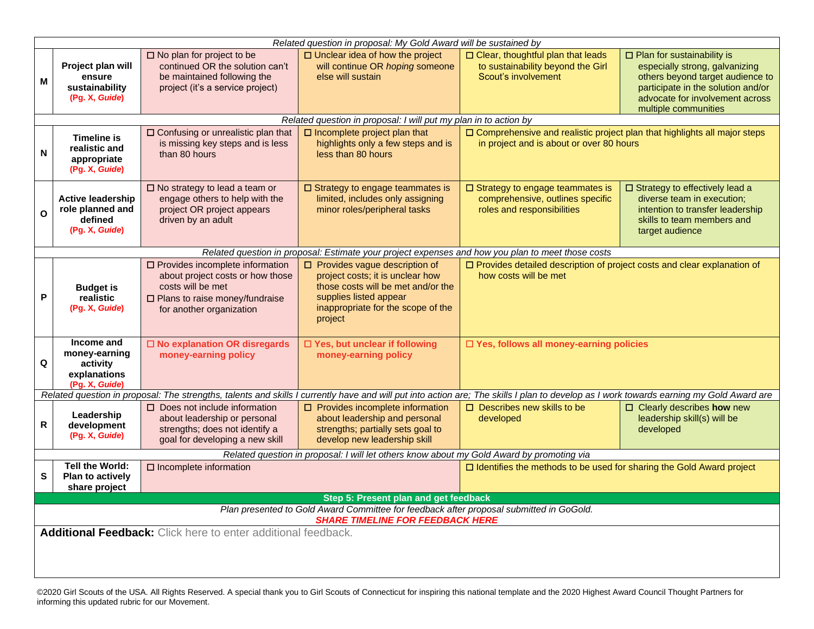|                                                                                                                                    |                                                                                                   |                                                                                                                                                                    | Related question in proposal: My Gold Award will be sustained by                                                                                                                          |                                                                                                                        |                                                                                                                                                                                                          |  |  |
|------------------------------------------------------------------------------------------------------------------------------------|---------------------------------------------------------------------------------------------------|--------------------------------------------------------------------------------------------------------------------------------------------------------------------|-------------------------------------------------------------------------------------------------------------------------------------------------------------------------------------------|------------------------------------------------------------------------------------------------------------------------|----------------------------------------------------------------------------------------------------------------------------------------------------------------------------------------------------------|--|--|
| M                                                                                                                                  | Project plan will<br>ensure<br>sustainability<br>(Pg. X, Guide)                                   | $\square$ No plan for project to be<br>continued OR the solution can't<br>be maintained following the<br>project (it's a service project)                          | $\Box$ Unclear idea of how the project<br>will continue OR hoping someone<br>else will sustain                                                                                            | $\square$ Clear, thoughtful plan that leads<br>to sustainability beyond the Girl<br>Scout's involvement                | $\Box$ Plan for sustainability is<br>especially strong, galvanizing<br>others beyond target audience to<br>participate in the solution and/or<br>advocate for involvement across<br>multiple communities |  |  |
|                                                                                                                                    |                                                                                                   |                                                                                                                                                                    | Related question in proposal: I will put my plan in to action by                                                                                                                          |                                                                                                                        |                                                                                                                                                                                                          |  |  |
| N                                                                                                                                  | <b>Timeline is</b><br>realistic and<br>appropriate<br>(Pg. X, Guide)                              | □ Confusing or unrealistic plan that<br>is missing key steps and is less<br>than 80 hours                                                                          | $\Box$ Incomplete project plan that<br>highlights only a few steps and is<br>less than 80 hours                                                                                           | □ Comprehensive and realistic project plan that highlights all major steps<br>in project and is about or over 80 hours |                                                                                                                                                                                                          |  |  |
| O                                                                                                                                  | <b>Active leadership</b><br>role planned and<br>defined<br>(Pg. X, Guide)                         | $\square$ No strategy to lead a team or<br>engage others to help with the<br>project OR project appears<br>driven by an adult                                      | $\square$ Strategy to engage teammates is<br>limited, includes only assigning<br>minor roles/peripheral tasks                                                                             | $\square$ Strategy to engage teammates is<br>comprehensive, outlines specific<br>roles and responsibilities            | □ Strategy to effectively lead a<br>diverse team in execution;<br>intention to transfer leadership<br>skills to team members and<br>target audience                                                      |  |  |
|                                                                                                                                    | Related question in proposal: Estimate your project expenses and how you plan to meet those costs |                                                                                                                                                                    |                                                                                                                                                                                           |                                                                                                                        |                                                                                                                                                                                                          |  |  |
| P                                                                                                                                  | <b>Budget is</b><br>realistic<br>(Pg. X, Guide)                                                   | $\square$ Provides incomplete information<br>about project costs or how those<br>costs will be met<br>□ Plans to raise money/fundraise<br>for another organization | $\Box$ Provides vague description of<br>project costs; it is unclear how<br>those costs will be met and/or the<br>supplies listed appear<br>inappropriate for the scope of the<br>project | □ Provides detailed description of project costs and clear explanation of<br>how costs will be met                     |                                                                                                                                                                                                          |  |  |
| Q                                                                                                                                  | Income and<br>money-earning<br>activity<br>explanations<br>(Pg. X, Guide)                         | □ No explanation OR disregards<br>money-earning policy                                                                                                             | □ Yes, but unclear if following<br>money-earning policy                                                                                                                                   | □ Yes, follows all money-earning policies                                                                              |                                                                                                                                                                                                          |  |  |
|                                                                                                                                    |                                                                                                   |                                                                                                                                                                    | Related question in proposal: The strengths, talents and skills I currently have and will put into action are; The skills I plan to develop as I work towards earning my Gold Award are   |                                                                                                                        |                                                                                                                                                                                                          |  |  |
| R                                                                                                                                  | Leadership<br>development<br>(Pg. X, Guide)                                                       | $\Box$ Does not include information<br>about leadership or personal<br>strengths; does not identify a<br>goal for developing a new skill                           | $\Box$ Provides incomplete information<br>about leadership and personal<br>strengths; partially sets goal to<br>develop new leadership skill                                              | $\Box$ Describes new skills to be<br>developed                                                                         | □ Clearly describes how new<br>leadership skill(s) will be<br>developed                                                                                                                                  |  |  |
|                                                                                                                                    |                                                                                                   |                                                                                                                                                                    | Related question in proposal: I will let others know about my Gold Award by promoting via                                                                                                 |                                                                                                                        |                                                                                                                                                                                                          |  |  |
| $\mathbf{s}$                                                                                                                       | Tell the World:<br>Plan to actively<br>share project                                              | $\square$ Incomplete information                                                                                                                                   |                                                                                                                                                                                           | $\Box$ Identifies the methods to be used for sharing the Gold Award project                                            |                                                                                                                                                                                                          |  |  |
|                                                                                                                                    |                                                                                                   |                                                                                                                                                                    | Step 5: Present plan and get feedback                                                                                                                                                     |                                                                                                                        |                                                                                                                                                                                                          |  |  |
| Plan presented to Gold Award Committee for feedback after proposal submitted in GoGold.<br><b>SHARE TIMELINE FOR FEEDBACK HERE</b> |                                                                                                   |                                                                                                                                                                    |                                                                                                                                                                                           |                                                                                                                        |                                                                                                                                                                                                          |  |  |
| Additional Feedback: Click here to enter additional feedback.                                                                      |                                                                                                   |                                                                                                                                                                    |                                                                                                                                                                                           |                                                                                                                        |                                                                                                                                                                                                          |  |  |

©2020 Girl Scouts of the USA. All Rights Reserved. A special thank you to Girl Scouts of Connecticut for inspiring this national template and the 2020 Highest Award Council Thought Partners for informing this updated rubric for our Movement.